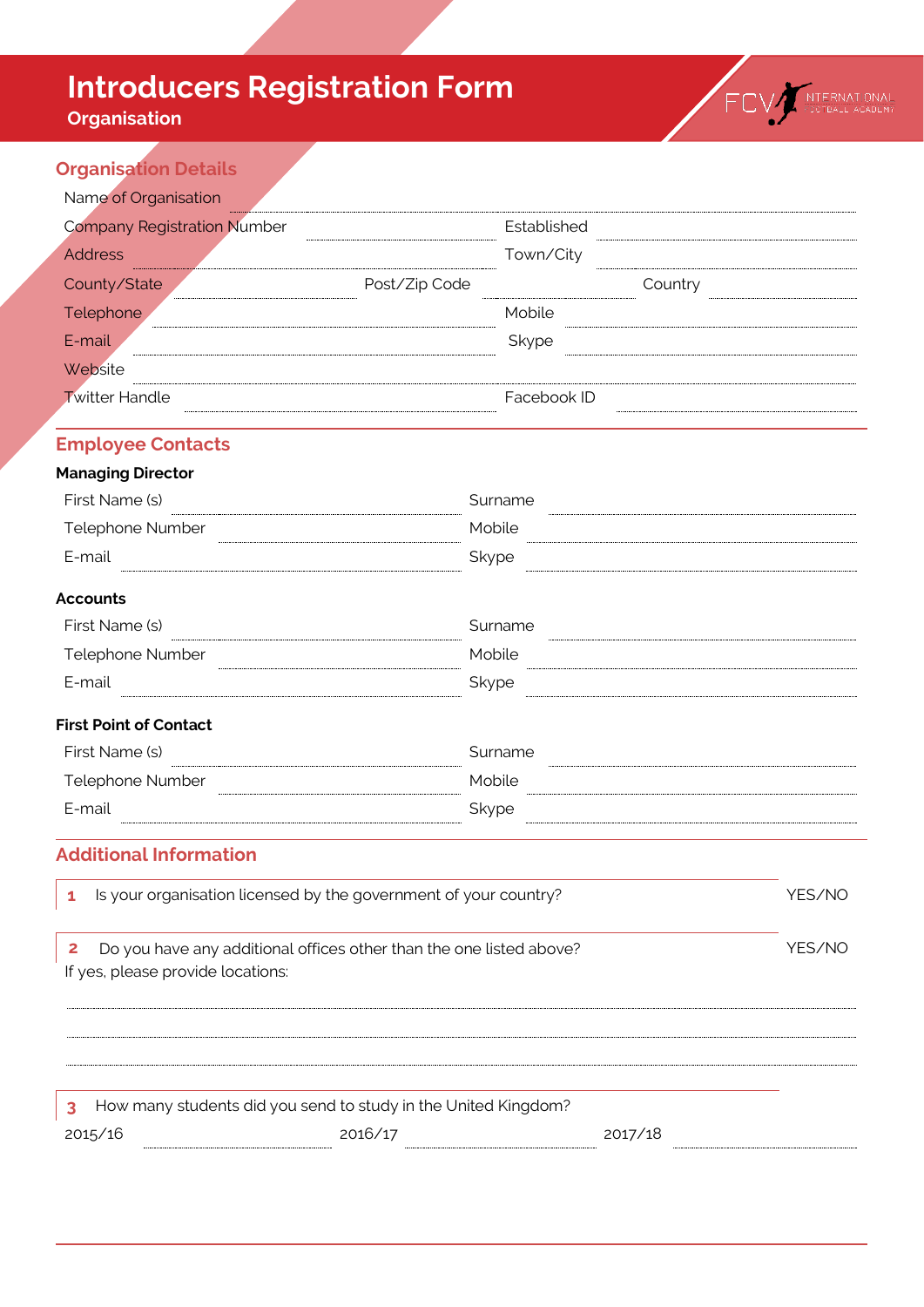# **Introducers Registration Form**

## **Organisation**



### **Organisation Details**

| <b>Company Registration Number</b>                                                                            |               | Established |         |        |
|---------------------------------------------------------------------------------------------------------------|---------------|-------------|---------|--------|
| <b>Address</b>                                                                                                |               | Town/City   |         |        |
| County/State                                                                                                  | Post/Zip Code |             | Country |        |
| Telephone                                                                                                     |               | Mobile      |         |        |
| E-mail                                                                                                        |               | Skype       |         |        |
| Website                                                                                                       |               |             |         |        |
| <b>Twitter Handle</b>                                                                                         |               | Facebook ID |         |        |
| <b>Employee Contacts</b>                                                                                      |               |             |         |        |
| <b>Managing Director</b>                                                                                      |               |             |         |        |
| First Name (s)                                                                                                |               | Surname     |         |        |
| Telephone Number                                                                                              | Mobile        |             |         |        |
| E-mail                                                                                                        | Skype         |             |         |        |
| <b>Accounts</b>                                                                                               |               |             |         |        |
| First Name (s)                                                                                                |               | Surname     |         |        |
| Telephone Number                                                                                              |               | Mobile      |         |        |
| E-mail                                                                                                        | Skype         |             |         |        |
| <b>First Point of Contact</b>                                                                                 |               |             |         |        |
| First Name (s)                                                                                                |               | Surname     |         |        |
| Telephone Number                                                                                              | Mobile        |             |         |        |
| E-mail                                                                                                        | Skype         |             |         |        |
| <b>Additional Information</b>                                                                                 |               |             |         |        |
| Is your organisation licensed by the government of your country?<br>1                                         |               |             |         | YES/NO |
| Do you have any additional offices other than the one listed above?<br>2<br>If yes, please provide locations: |               |             |         | YES/NO |

| How many students did you send to study in the United Kingdom? |         |  |         |  |
|----------------------------------------------------------------|---------|--|---------|--|
| 2015/16                                                        | 2016/17 |  | 2017/18 |  |
|                                                                |         |  |         |  |